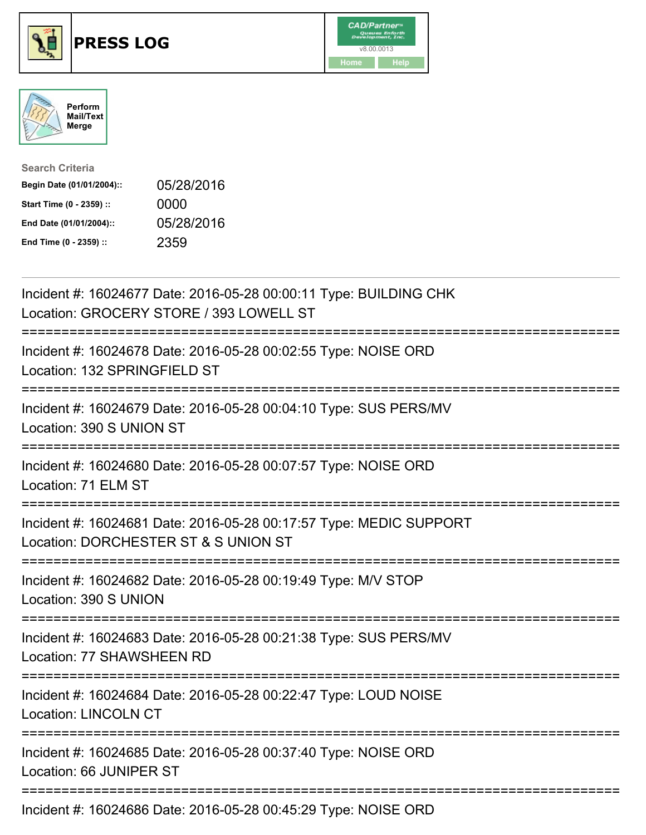





| <b>Search Criteria</b>    |            |
|---------------------------|------------|
| Begin Date (01/01/2004):: | 05/28/2016 |
| Start Time (0 - 2359) ::  | 0000       |
| End Date (01/01/2004)::   | 05/28/2016 |
| End Time (0 - 2359) ::    | 2359       |

| Incident #: 16024677 Date: 2016-05-28 00:00:11 Type: BUILDING CHK<br>Location: GROCERY STORE / 393 LOWELL ST                            |
|-----------------------------------------------------------------------------------------------------------------------------------------|
| Incident #: 16024678 Date: 2016-05-28 00:02:55 Type: NOISE ORD<br>Location: 132 SPRINGFIELD ST                                          |
| Incident #: 16024679 Date: 2016-05-28 00:04:10 Type: SUS PERS/MV<br>Location: 390 S UNION ST                                            |
| Incident #: 16024680 Date: 2016-05-28 00:07:57 Type: NOISE ORD<br>Location: 71 ELM ST                                                   |
| Incident #: 16024681 Date: 2016-05-28 00:17:57 Type: MEDIC SUPPORT<br>Location: DORCHESTER ST & S UNION ST                              |
| Incident #: 16024682 Date: 2016-05-28 00:19:49 Type: M/V STOP<br>Location: 390 S UNION                                                  |
| Incident #: 16024683 Date: 2016-05-28 00:21:38 Type: SUS PERS/MV<br>Location: 77 SHAWSHEEN RD<br>-------------------------------------- |
| Incident #: 16024684 Date: 2016-05-28 00:22:47 Type: LOUD NOISE<br><b>Location: LINCOLN CT</b>                                          |
| Incident #: 16024685 Date: 2016-05-28 00:37:40 Type: NOISE ORD<br>Location: 66 JUNIPER ST                                               |
| Incident #: 16024686 Date: 2016-05-28 00:45:29 Type: NOISE ORD                                                                          |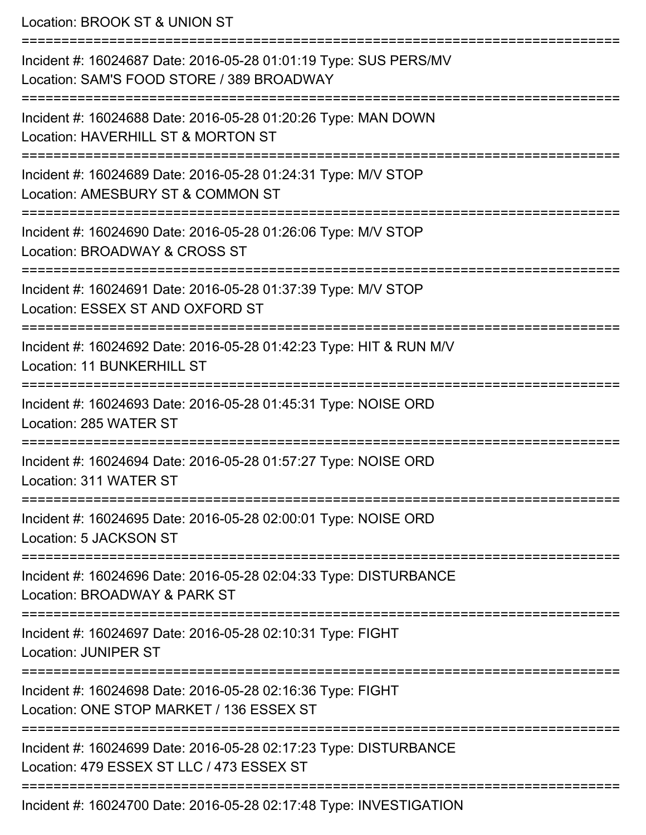Location: BROOK ST & UNION ST =========================================================================== Incident #: 16024687 Date: 2016-05-28 01:01:19 Type: SUS PERS/MV Location: SAM'S FOOD STORE / 389 BROADWAY =========================================================================== Incident #: 16024688 Date: 2016-05-28 01:20:26 Type: MAN DOWN Location: HAVERHILL ST & MORTON ST =========================================================================== Incident #: 16024689 Date: 2016-05-28 01:24:31 Type: M/V STOP Location: AMESBURY ST & COMMON ST =========================================================================== Incident #: 16024690 Date: 2016-05-28 01:26:06 Type: M/V STOP Location: BROADWAY & CROSS ST =========================================================================== Incident #: 16024691 Date: 2016-05-28 01:37:39 Type: M/V STOP Location: ESSEX ST AND OXFORD ST =========================================================================== Incident #: 16024692 Date: 2016-05-28 01:42:23 Type: HIT & RUN M/V Location: 11 BUNKERHILL ST =========================================================================== Incident #: 16024693 Date: 2016-05-28 01:45:31 Type: NOISE ORD Location: 285 WATER ST =========================================================================== Incident #: 16024694 Date: 2016-05-28 01:57:27 Type: NOISE ORD Location: 311 WATER ST =========================================================================== Incident #: 16024695 Date: 2016-05-28 02:00:01 Type: NOISE ORD Location: 5 JACKSON ST =========================================================================== Incident #: 16024696 Date: 2016-05-28 02:04:33 Type: DISTURBANCE Location: BROADWAY & PARK ST =========================================================================== Incident #: 16024697 Date: 2016-05-28 02:10:31 Type: FIGHT Location: JUNIPER ST =========================================================================== Incident #: 16024698 Date: 2016-05-28 02:16:36 Type: FIGHT Location: ONE STOP MARKET / 136 ESSEX ST =========================================================================== Incident #: 16024699 Date: 2016-05-28 02:17:23 Type: DISTURBANCE Location: 479 ESSEX ST LLC / 473 ESSEX ST ===========================================================================

Incident #: 16024700 Date: 2016-05-28 02:17:48 Type: INVESTIGATION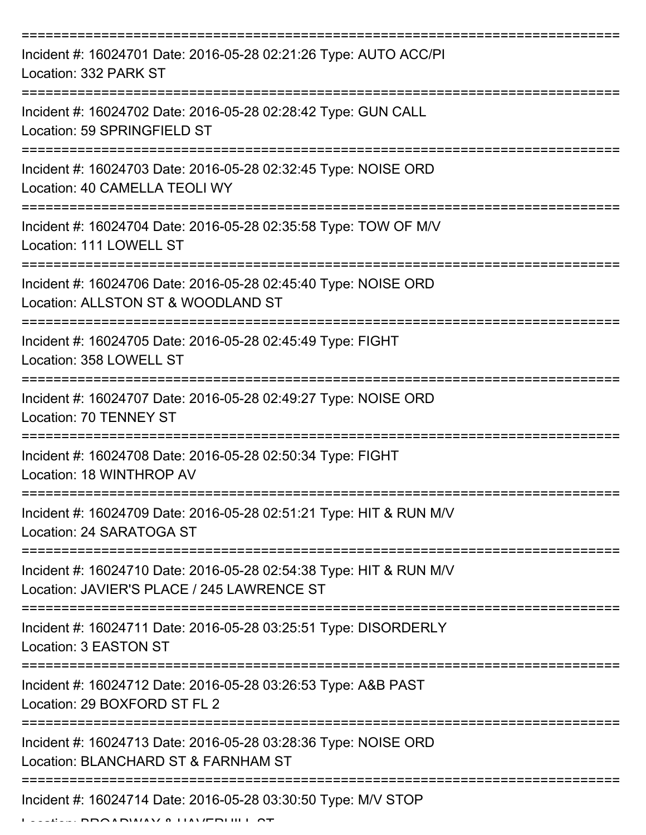| Incident #: 16024701 Date: 2016-05-28 02:21:26 Type: AUTO ACC/PI<br>Location: 332 PARK ST                        |
|------------------------------------------------------------------------------------------------------------------|
| Incident #: 16024702 Date: 2016-05-28 02:28:42 Type: GUN CALL<br>Location: 59 SPRINGFIELD ST                     |
| Incident #: 16024703 Date: 2016-05-28 02:32:45 Type: NOISE ORD<br>Location: 40 CAMELLA TEOLI WY                  |
| Incident #: 16024704 Date: 2016-05-28 02:35:58 Type: TOW OF M/V<br>Location: 111 LOWELL ST<br>===============    |
| Incident #: 16024706 Date: 2016-05-28 02:45:40 Type: NOISE ORD<br>Location: ALLSTON ST & WOODLAND ST             |
| Incident #: 16024705 Date: 2016-05-28 02:45:49 Type: FIGHT<br>Location: 358 LOWELL ST                            |
| Incident #: 16024707 Date: 2016-05-28 02:49:27 Type: NOISE ORD<br>Location: 70 TENNEY ST                         |
| Incident #: 16024708 Date: 2016-05-28 02:50:34 Type: FIGHT<br>Location: 18 WINTHROP AV                           |
| Incident #: 16024709 Date: 2016-05-28 02:51:21 Type: HIT & RUN M/V<br>Location: 24 SARATOGA ST                   |
| Incident #: 16024710 Date: 2016-05-28 02:54:38 Type: HIT & RUN M/V<br>Location: JAVIER'S PLACE / 245 LAWRENCE ST |
| Incident #: 16024711 Date: 2016-05-28 03:25:51 Type: DISORDERLY<br>Location: 3 EASTON ST                         |
| Incident #: 16024712 Date: 2016-05-28 03:26:53 Type: A&B PAST<br>Location: 29 BOXFORD ST FL 2                    |
| Incident #: 16024713 Date: 2016-05-28 03:28:36 Type: NOISE ORD<br>Location: BLANCHARD ST & FARNHAM ST            |
| Incident #: 16024714 Date: 2016-05-28 03:30:50 Type: M/V STOP                                                    |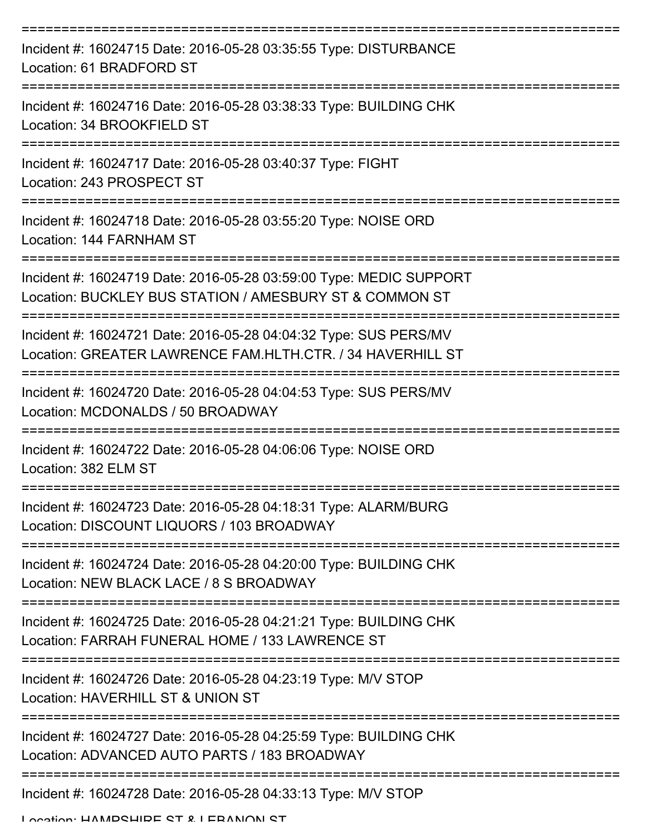| Incident #: 16024715 Date: 2016-05-28 03:35:55 Type: DISTURBANCE<br>Location: 61 BRADFORD ST                                   |
|--------------------------------------------------------------------------------------------------------------------------------|
| Incident #: 16024716 Date: 2016-05-28 03:38:33 Type: BUILDING CHK<br>Location: 34 BROOKFIELD ST                                |
| Incident #: 16024717 Date: 2016-05-28 03:40:37 Type: FIGHT<br>Location: 243 PROSPECT ST                                        |
| Incident #: 16024718 Date: 2016-05-28 03:55:20 Type: NOISE ORD<br>Location: 144 FARNHAM ST                                     |
| Incident #: 16024719 Date: 2016-05-28 03:59:00 Type: MEDIC SUPPORT<br>Location: BUCKLEY BUS STATION / AMESBURY ST & COMMON ST  |
| Incident #: 16024721 Date: 2016-05-28 04:04:32 Type: SUS PERS/MV<br>Location: GREATER LAWRENCE FAM.HLTH.CTR. / 34 HAVERHILL ST |
| Incident #: 16024720 Date: 2016-05-28 04:04:53 Type: SUS PERS/MV<br>Location: MCDONALDS / 50 BROADWAY                          |
| Incident #: 16024722 Date: 2016-05-28 04:06:06 Type: NOISE ORD<br>Location: 382 ELM ST                                         |
| Incident #: 16024723 Date: 2016-05-28 04:18:31 Type: ALARM/BURG<br>Location: DISCOUNT LIQUORS / 103 BROADWAY                   |
| Incident #: 16024724 Date: 2016-05-28 04:20:00 Type: BUILDING CHK<br>Location: NEW BLACK LACE / 8 S BROADWAY                   |
| Incident #: 16024725 Date: 2016-05-28 04:21:21 Type: BUILDING CHK<br>Location: FARRAH FUNERAL HOME / 133 LAWRENCE ST           |
| Incident #: 16024726 Date: 2016-05-28 04:23:19 Type: M/V STOP<br>Location: HAVERHILL ST & UNION ST                             |
| Incident #: 16024727 Date: 2016-05-28 04:25:59 Type: BUILDING CHK<br>Location: ADVANCED AUTO PARTS / 183 BROADWAY              |
| Incident #: 16024728 Date: 2016-05-28 04:33:13 Type: M/V STOP                                                                  |

Location: HAMPSHIRE ST & LEBANON ST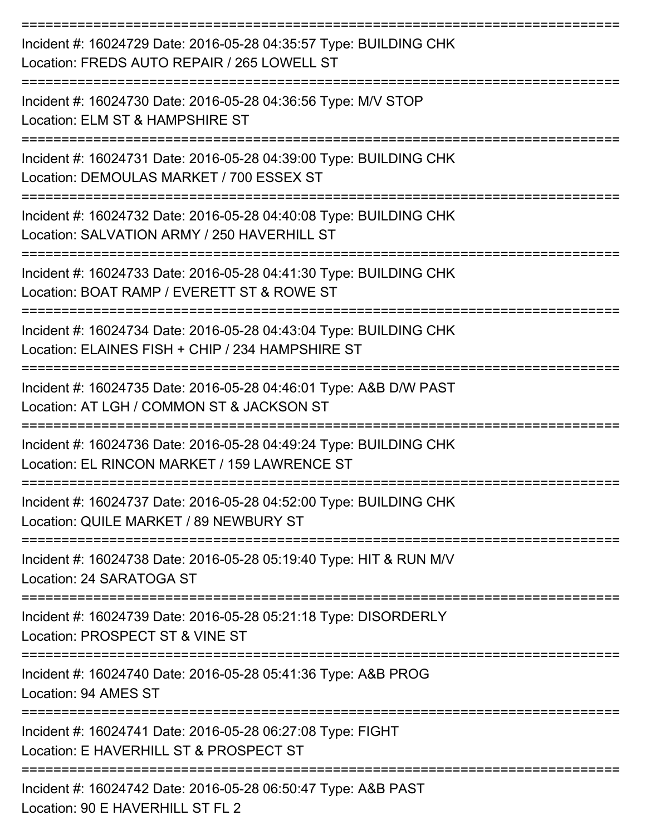| Incident #: 16024729 Date: 2016-05-28 04:35:57 Type: BUILDING CHK<br>Location: FREDS AUTO REPAIR / 265 LOWELL ST      |
|-----------------------------------------------------------------------------------------------------------------------|
| Incident #: 16024730 Date: 2016-05-28 04:36:56 Type: M/V STOP<br>Location: ELM ST & HAMPSHIRE ST                      |
| Incident #: 16024731 Date: 2016-05-28 04:39:00 Type: BUILDING CHK<br>Location: DEMOULAS MARKET / 700 ESSEX ST         |
| Incident #: 16024732 Date: 2016-05-28 04:40:08 Type: BUILDING CHK<br>Location: SALVATION ARMY / 250 HAVERHILL ST      |
| Incident #: 16024733 Date: 2016-05-28 04:41:30 Type: BUILDING CHK<br>Location: BOAT RAMP / EVERETT ST & ROWE ST       |
| Incident #: 16024734 Date: 2016-05-28 04:43:04 Type: BUILDING CHK<br>Location: ELAINES FISH + CHIP / 234 HAMPSHIRE ST |
| Incident #: 16024735 Date: 2016-05-28 04:46:01 Type: A&B D/W PAST<br>Location: AT LGH / COMMON ST & JACKSON ST        |
| Incident #: 16024736 Date: 2016-05-28 04:49:24 Type: BUILDING CHK<br>Location: EL RINCON MARKET / 159 LAWRENCE ST     |
| Incident #: 16024737 Date: 2016-05-28 04:52:00 Type: BUILDING CHK<br>Location: QUILE MARKET / 89 NEWBURY ST           |
| Incident #: 16024738 Date: 2016-05-28 05:19:40 Type: HIT & RUN M/V<br>Location: 24 SARATOGA ST                        |
| Incident #: 16024739 Date: 2016-05-28 05:21:18 Type: DISORDERLY<br>Location: PROSPECT ST & VINE ST                    |
| Incident #: 16024740 Date: 2016-05-28 05:41:36 Type: A&B PROG<br>Location: 94 AMES ST                                 |
| Incident #: 16024741 Date: 2016-05-28 06:27:08 Type: FIGHT<br>Location: E HAVERHILL ST & PROSPECT ST                  |
| Incident #: 16024742 Date: 2016-05-28 06:50:47 Type: A&B PAST<br>Location: 90 E HAVERHILL ST FL 2                     |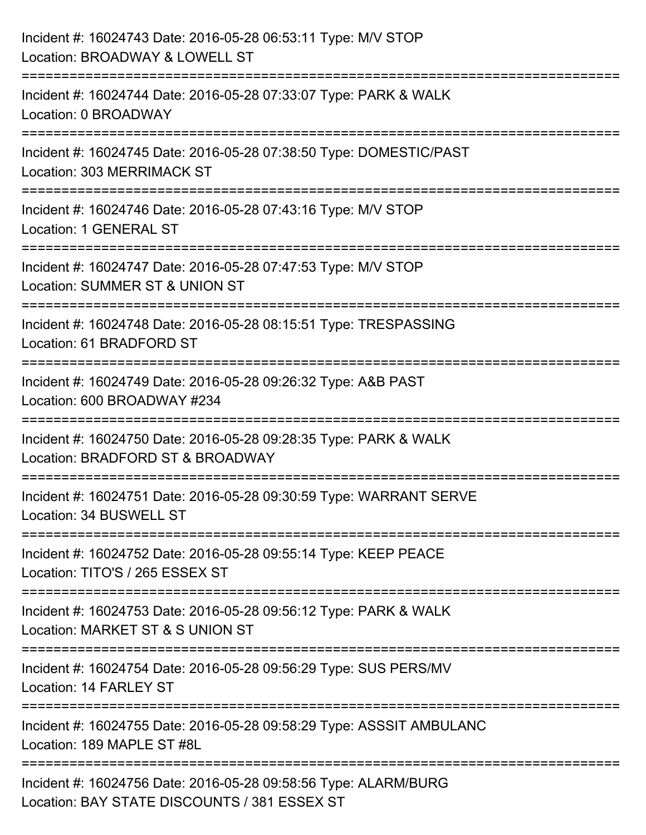| Incident #: 16024743 Date: 2016-05-28 06:53:11 Type: M/V STOP<br>Location: BROADWAY & LOWELL ST                       |
|-----------------------------------------------------------------------------------------------------------------------|
| Incident #: 16024744 Date: 2016-05-28 07:33:07 Type: PARK & WALK<br>Location: 0 BROADWAY                              |
| Incident #: 16024745 Date: 2016-05-28 07:38:50 Type: DOMESTIC/PAST<br>Location: 303 MERRIMACK ST                      |
| ==========================<br>Incident #: 16024746 Date: 2016-05-28 07:43:16 Type: M/V STOP<br>Location: 1 GENERAL ST |
| Incident #: 16024747 Date: 2016-05-28 07:47:53 Type: M/V STOP<br><b>Location: SUMMER ST &amp; UNION ST</b>            |
| Incident #: 16024748 Date: 2016-05-28 08:15:51 Type: TRESPASSING<br>Location: 61 BRADFORD ST                          |
| Incident #: 16024749 Date: 2016-05-28 09:26:32 Type: A&B PAST<br>Location: 600 BROADWAY #234                          |
| Incident #: 16024750 Date: 2016-05-28 09:28:35 Type: PARK & WALK<br>Location: BRADFORD ST & BROADWAY                  |
| Incident #: 16024751 Date: 2016-05-28 09:30:59 Type: WARRANT SERVE<br>Location: 34 BUSWELL ST                         |
| Incident #: 16024752 Date: 2016-05-28 09:55:14 Type: KEEP PEACE<br>Location: TITO'S / 265 ESSEX ST                    |
| Incident #: 16024753 Date: 2016-05-28 09:56:12 Type: PARK & WALK<br>Location: MARKET ST & S UNION ST                  |
| Incident #: 16024754 Date: 2016-05-28 09:56:29 Type: SUS PERS/MV<br>Location: 14 FARLEY ST                            |
| Incident #: 16024755 Date: 2016-05-28 09:58:29 Type: ASSSIT AMBULANC<br>Location: 189 MAPLE ST #8L                    |
| Incident #: 16024756 Date: 2016-05-28 09:58:56 Type: ALARM/BURG<br>Location: BAY STATE DISCOUNTS / 381 ESSEX ST       |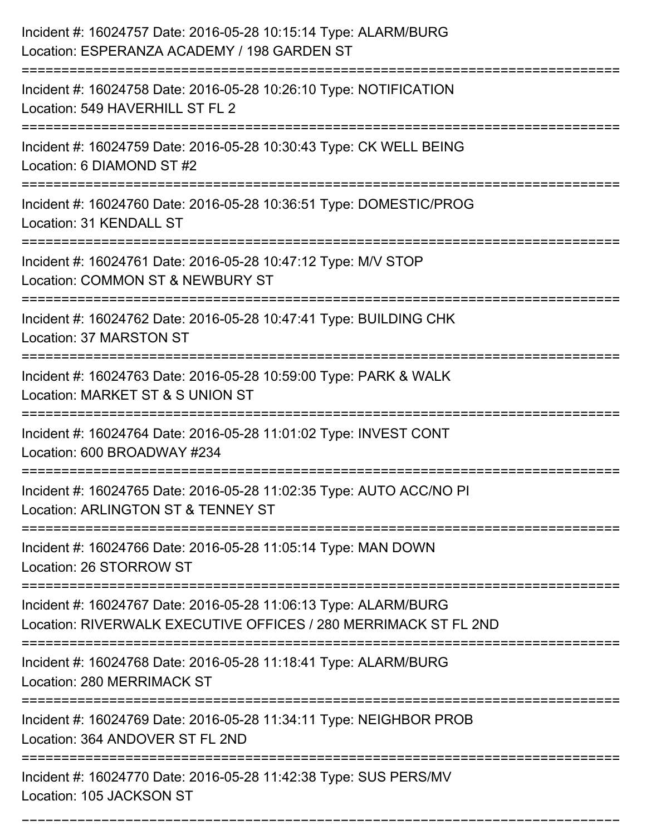| Incident #: 16024757 Date: 2016-05-28 10:15:14 Type: ALARM/BURG<br>Location: ESPERANZA ACADEMY / 198 GARDEN ST                            |
|-------------------------------------------------------------------------------------------------------------------------------------------|
| Incident #: 16024758 Date: 2016-05-28 10:26:10 Type: NOTIFICATION<br>Location: 549 HAVERHILL ST FL 2                                      |
| Incident #: 16024759 Date: 2016-05-28 10:30:43 Type: CK WELL BEING<br>Location: 6 DIAMOND ST #2                                           |
| Incident #: 16024760 Date: 2016-05-28 10:36:51 Type: DOMESTIC/PROG<br>Location: 31 KENDALL ST                                             |
| Incident #: 16024761 Date: 2016-05-28 10:47:12 Type: M/V STOP<br>Location: COMMON ST & NEWBURY ST                                         |
| Incident #: 16024762 Date: 2016-05-28 10:47:41 Type: BUILDING CHK<br>Location: 37 MARSTON ST                                              |
| Incident #: 16024763 Date: 2016-05-28 10:59:00 Type: PARK & WALK<br>Location: MARKET ST & S UNION ST                                      |
| Incident #: 16024764 Date: 2016-05-28 11:01:02 Type: INVEST CONT<br>Location: 600 BROADWAY #234                                           |
| Incident #: 16024765 Date: 2016-05-28 11:02:35 Type: AUTO ACC/NO PI<br>Location: ARLINGTON ST & TENNEY ST                                 |
| Incident #: 16024766 Date: 2016-05-28 11:05:14 Type: MAN DOWN<br>Location: 26 STORROW ST                                                  |
| Incident #: 16024767 Date: 2016-05-28 11:06:13 Type: ALARM/BURG<br>Location: RIVERWALK EXECUTIVE OFFICES / 280 MERRIMACK ST FL 2ND        |
| Incident #: 16024768 Date: 2016-05-28 11:18:41 Type: ALARM/BURG<br><b>Location: 280 MERRIMACK ST</b><br>================================= |
| Incident #: 16024769 Date: 2016-05-28 11:34:11 Type: NEIGHBOR PROB<br>Location: 364 ANDOVER ST FL 2ND                                     |
| Incident #: 16024770 Date: 2016-05-28 11:42:38 Type: SUS PERS/MV<br>Location: 105 JACKSON ST                                              |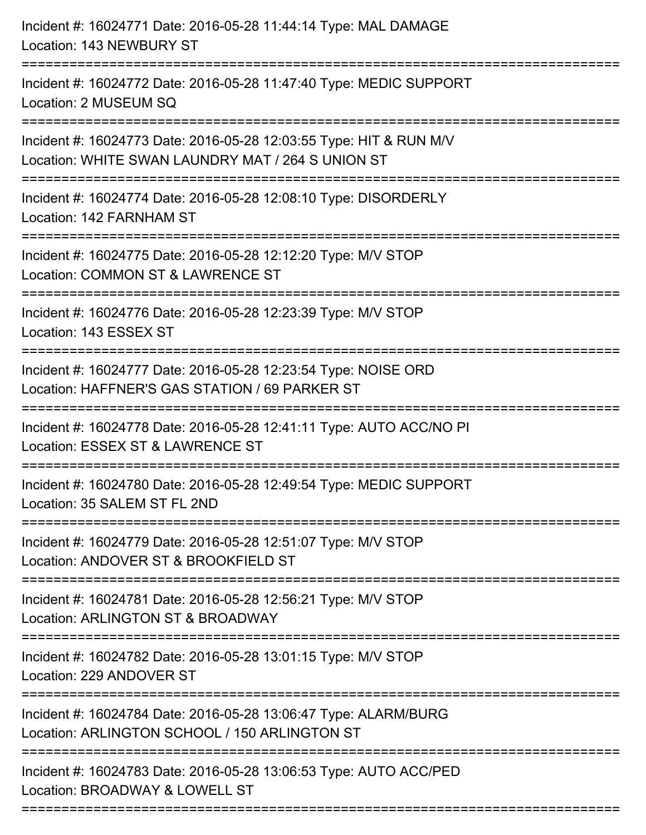| Incident #: 16024771 Date: 2016-05-28 11:44:14 Type: MAL DAMAGE<br>Location: 143 NEWBURY ST                                              |
|------------------------------------------------------------------------------------------------------------------------------------------|
| Incident #: 16024772 Date: 2016-05-28 11:47:40 Type: MEDIC SUPPORT<br>Location: 2 MUSEUM SQ                                              |
| Incident #: 16024773 Date: 2016-05-28 12:03:55 Type: HIT & RUN M/V<br>Location: WHITE SWAN LAUNDRY MAT / 264 S UNION ST                  |
| Incident #: 16024774 Date: 2016-05-28 12:08:10 Type: DISORDERLY<br>Location: 142 FARNHAM ST                                              |
| Incident #: 16024775 Date: 2016-05-28 12:12:20 Type: M/V STOP<br>Location: COMMON ST & LAWRENCE ST                                       |
| Incident #: 16024776 Date: 2016-05-28 12:23:39 Type: M/V STOP<br>Location: 143 ESSEX ST                                                  |
| Incident #: 16024777 Date: 2016-05-28 12:23:54 Type: NOISE ORD<br>Location: HAFFNER'S GAS STATION / 69 PARKER ST<br>==================== |
| Incident #: 16024778 Date: 2016-05-28 12:41:11 Type: AUTO ACC/NO PI<br>Location: ESSEX ST & LAWRENCE ST                                  |
| Incident #: 16024780 Date: 2016-05-28 12:49:54 Type: MEDIC SUPPORT<br>Location: 35 SALEM ST FL 2ND                                       |
| Incident #: 16024779 Date: 2016-05-28 12:51:07 Type: M/V STOP<br>Location: ANDOVER ST & BROOKFIELD ST                                    |
| Incident #: 16024781 Date: 2016-05-28 12:56:21 Type: M/V STOP<br>Location: ARLINGTON ST & BROADWAY                                       |
| Incident #: 16024782 Date: 2016-05-28 13:01:15 Type: M/V STOP<br>Location: 229 ANDOVER ST                                                |
| Incident #: 16024784 Date: 2016-05-28 13:06:47 Type: ALARM/BURG<br>Location: ARLINGTON SCHOOL / 150 ARLINGTON ST                         |
| Incident #: 16024783 Date: 2016-05-28 13:06:53 Type: AUTO ACC/PED<br>Location: BROADWAY & LOWELL ST                                      |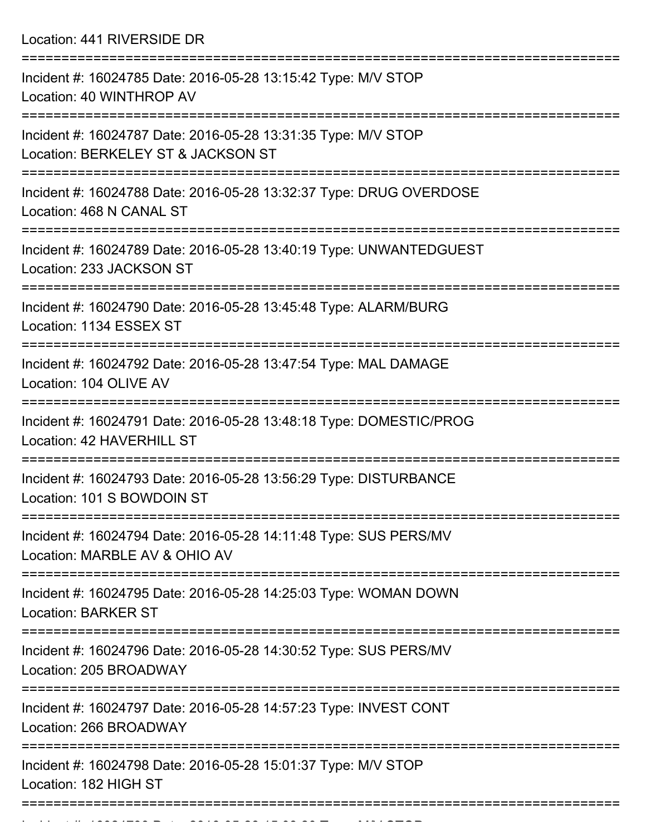Location: 441 RIVERSIDE DR

| Incident #: 16024785 Date: 2016-05-28 13:15:42 Type: M/V STOP<br>Location: 40 WINTHROP AV                       |
|-----------------------------------------------------------------------------------------------------------------|
| Incident #: 16024787 Date: 2016-05-28 13:31:35 Type: M/V STOP<br>Location: BERKELEY ST & JACKSON ST             |
| Incident #: 16024788 Date: 2016-05-28 13:32:37 Type: DRUG OVERDOSE<br>Location: 468 N CANAL ST                  |
| Incident #: 16024789 Date: 2016-05-28 13:40:19 Type: UNWANTEDGUEST<br>Location: 233 JACKSON ST                  |
| Incident #: 16024790 Date: 2016-05-28 13:45:48 Type: ALARM/BURG<br>Location: 1134 ESSEX ST                      |
| Incident #: 16024792 Date: 2016-05-28 13:47:54 Type: MAL DAMAGE<br>Location: 104 OLIVE AV                       |
| Incident #: 16024791 Date: 2016-05-28 13:48:18 Type: DOMESTIC/PROG<br>Location: 42 HAVERHILL ST                 |
| Incident #: 16024793 Date: 2016-05-28 13:56:29 Type: DISTURBANCE<br>Location: 101 S BOWDOIN ST                  |
| Incident #: 16024794 Date: 2016-05-28 14:11:48 Type: SUS PERS/MV<br>Location: MARBLE AV & OHIO AV               |
| :=============<br>Incident #: 16024795 Date: 2016-05-28 14:25:03 Type: WOMAN DOWN<br><b>Location: BARKER ST</b> |
| Incident #: 16024796 Date: 2016-05-28 14:30:52 Type: SUS PERS/MV<br>Location: 205 BROADWAY                      |
| Incident #: 16024797 Date: 2016-05-28 14:57:23 Type: INVEST CONT<br>Location: 266 BROADWAY                      |
| Incident #: 16024798 Date: 2016-05-28 15:01:37 Type: M/V STOP<br>Location: 182 HIGH ST                          |
|                                                                                                                 |

Incident #: 16024799 Date: 2016 05 28 15:08:20 Type: M/V STOP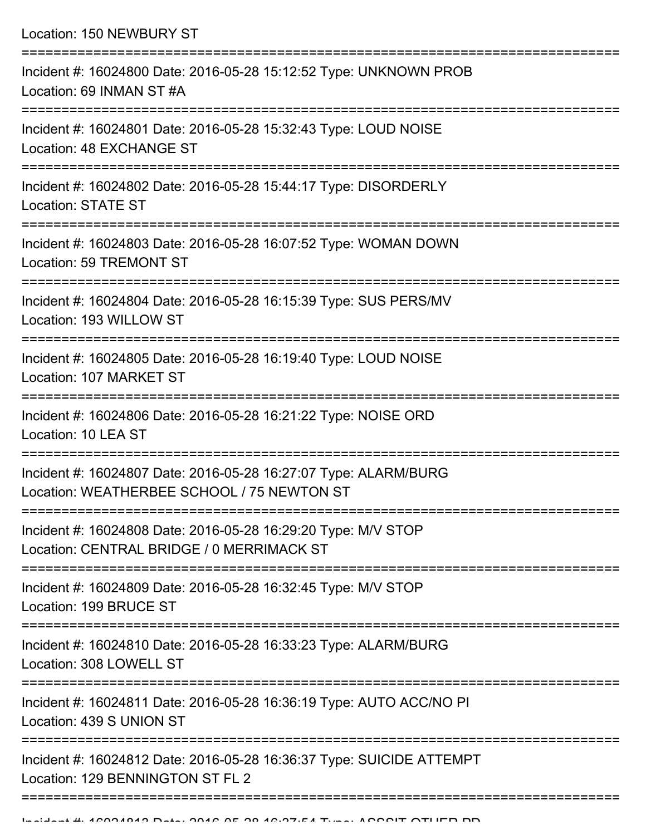Location: 150 NEWBURY ST =========================================================================== Incident #: 16024800 Date: 2016-05-28 15:12:52 Type: UNKNOWN PROB Location: 69 INMAN ST #A =========================================================================== Incident #: 16024801 Date: 2016-05-28 15:32:43 Type: LOUD NOISE Location: 48 EXCHANGE ST =========================================================================== Incident #: 16024802 Date: 2016-05-28 15:44:17 Type: DISORDERLY Location: STATE ST =========================================================================== Incident #: 16024803 Date: 2016-05-28 16:07:52 Type: WOMAN DOWN Location: 59 TREMONT ST =========================================================================== Incident #: 16024804 Date: 2016-05-28 16:15:39 Type: SUS PERS/MV Location: 193 WILLOW ST =========================================================================== Incident #: 16024805 Date: 2016-05-28 16:19:40 Type: LOUD NOISE Location: 107 MARKET ST =========================================================================== Incident #: 16024806 Date: 2016-05-28 16:21:22 Type: NOISE ORD Location: 10 LEA ST =========================================================================== Incident #: 16024807 Date: 2016-05-28 16:27:07 Type: ALARM/BURG Location: WEATHERBEE SCHOOL / 75 NEWTON ST =========================================================================== Incident #: 16024808 Date: 2016-05-28 16:29:20 Type: M/V STOP Location: CENTRAL BRIDGE / 0 MERRIMACK ST =========================================================================== Incident #: 16024809 Date: 2016-05-28 16:32:45 Type: M/V STOP Location: 199 BRUCE ST =========================================================================== Incident #: 16024810 Date: 2016-05-28 16:33:23 Type: ALARM/BURG Location: 308 LOWELL ST =========================================================================== Incident #: 16024811 Date: 2016-05-28 16:36:19 Type: AUTO ACC/NO PI Location: 439 S UNION ST =========================================================================== Incident #: 16024812 Date: 2016-05-28 16:36:37 Type: SUICIDE ATTEMPT Location: 129 BENNINGTON ST FL 2

==============================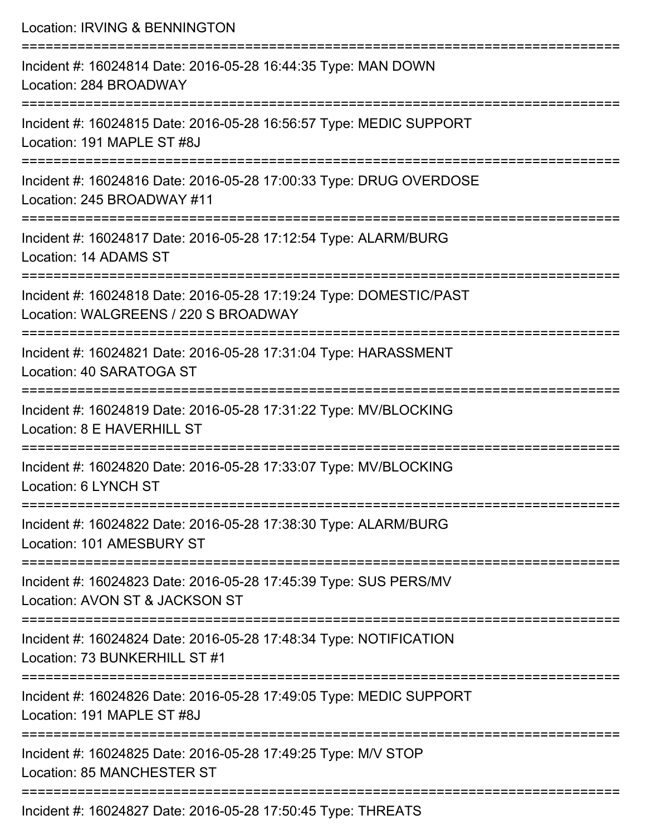| Location: IRVING & BENNINGTON                                                                                                                                 |
|---------------------------------------------------------------------------------------------------------------------------------------------------------------|
| Incident #: 16024814 Date: 2016-05-28 16:44:35 Type: MAN DOWN<br>Location: 284 BROADWAY<br>====================================                               |
| Incident #: 16024815 Date: 2016-05-28 16:56:57 Type: MEDIC SUPPORT<br>Location: 191 MAPLE ST #8J                                                              |
| Incident #: 16024816 Date: 2016-05-28 17:00:33 Type: DRUG OVERDOSE<br>Location: 245 BROADWAY #11                                                              |
| ==================================<br>---------------------------<br>Incident #: 16024817 Date: 2016-05-28 17:12:54 Type: ALARM/BURG<br>Location: 14 ADAMS ST |
| Incident #: 16024818 Date: 2016-05-28 17:19:24 Type: DOMESTIC/PAST<br>Location: WALGREENS / 220 S BROADWAY                                                    |
| Incident #: 16024821 Date: 2016-05-28 17:31:04 Type: HARASSMENT<br>Location: 40 SARATOGA ST                                                                   |
| Incident #: 16024819 Date: 2016-05-28 17:31:22 Type: MV/BLOCKING<br>Location: 8 E HAVERHILL ST                                                                |
| Incident #: 16024820 Date: 2016-05-28 17:33:07 Type: MV/BLOCKING<br>Location: 6 LYNCH ST                                                                      |
| Incident #: 16024822 Date: 2016-05-28 17:38:30 Type: ALARM/BURG<br>Location: 101 AMESBURY ST                                                                  |
| Incident #: 16024823 Date: 2016-05-28 17:45:39 Type: SUS PERS/MV<br>Location: AVON ST & JACKSON ST                                                            |
| Incident #: 16024824 Date: 2016-05-28 17:48:34 Type: NOTIFICATION<br>Location: 73 BUNKERHILL ST #1                                                            |
| Incident #: 16024826 Date: 2016-05-28 17:49:05 Type: MEDIC SUPPORT<br>Location: 191 MAPLE ST #8J                                                              |
| Incident #: 16024825 Date: 2016-05-28 17:49:25 Type: M/V STOP<br>Location: 85 MANCHESTER ST                                                                   |
|                                                                                                                                                               |

Incident #: 16024827 Date: 2016-05-28 17:50:45 Type: THREATS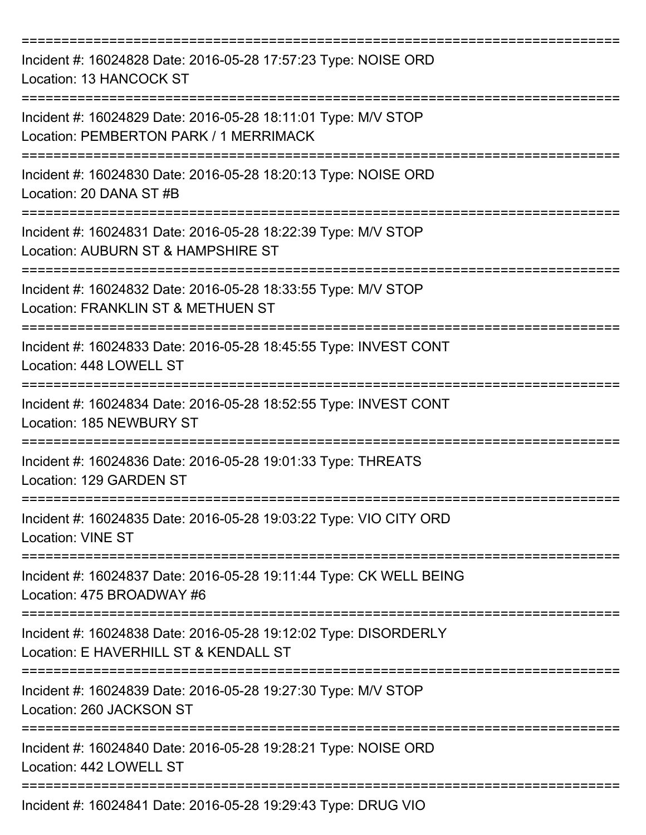| Incident #: 16024828 Date: 2016-05-28 17:57:23 Type: NOISE ORD<br>Location: 13 HANCOCK ST                      |
|----------------------------------------------------------------------------------------------------------------|
| Incident #: 16024829 Date: 2016-05-28 18:11:01 Type: M/V STOP<br>Location: PEMBERTON PARK / 1 MERRIMACK        |
| Incident #: 16024830 Date: 2016-05-28 18:20:13 Type: NOISE ORD<br>Location: 20 DANA ST #B                      |
| Incident #: 16024831 Date: 2016-05-28 18:22:39 Type: M/V STOP<br>Location: AUBURN ST & HAMPSHIRE ST            |
| Incident #: 16024832 Date: 2016-05-28 18:33:55 Type: M/V STOP<br>Location: FRANKLIN ST & METHUEN ST            |
| Incident #: 16024833 Date: 2016-05-28 18:45:55 Type: INVEST CONT<br>Location: 448 LOWELL ST                    |
| Incident #: 16024834 Date: 2016-05-28 18:52:55 Type: INVEST CONT<br>Location: 185 NEWBURY ST                   |
| Incident #: 16024836 Date: 2016-05-28 19:01:33 Type: THREATS<br>Location: 129 GARDEN ST                        |
| Incident #: 16024835 Date: 2016-05-28 19:03:22 Type: VIO CITY ORD<br><b>Location: VINE ST</b>                  |
| Incident #: 16024837 Date: 2016-05-28 19:11:44 Type: CK WELL BEING<br>Location: 475 BROADWAY #6                |
| Incident #: 16024838 Date: 2016-05-28 19:12:02 Type: DISORDERLY<br>Location: E HAVERHILL ST & KENDALL ST       |
| Incident #: 16024839 Date: 2016-05-28 19:27:30 Type: M/V STOP<br>Location: 260 JACKSON ST                      |
| Incident #: 16024840 Date: 2016-05-28 19:28:21 Type: NOISE ORD<br>Location: 442 LOWELL ST<br>----------------- |
| Incident #: 16024841 Date: 2016-05-28 19:29:43 Type: DRUG VIO                                                  |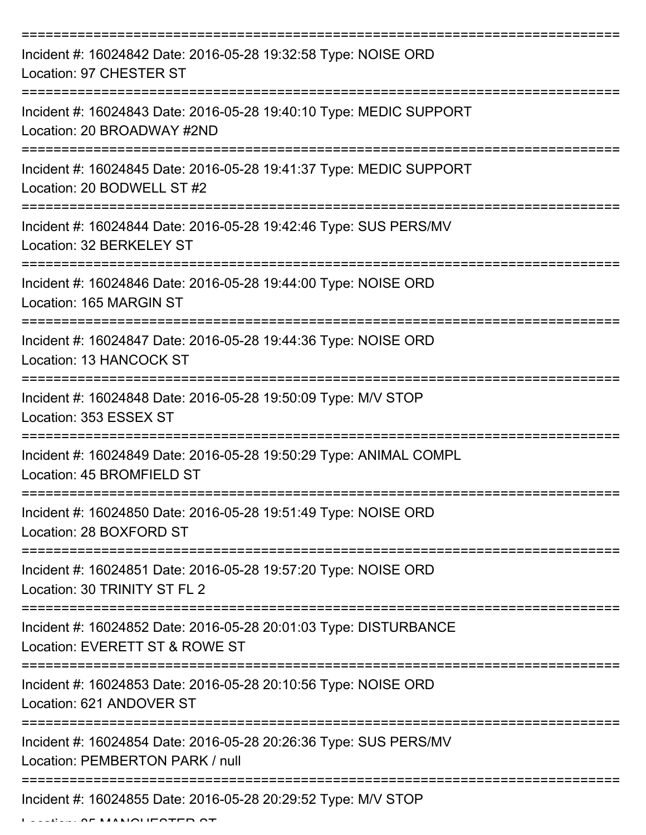| Incident #: 16024842 Date: 2016-05-28 19:32:58 Type: NOISE ORD<br>Location: 97 CHESTER ST                                       |
|---------------------------------------------------------------------------------------------------------------------------------|
| Incident #: 16024843 Date: 2016-05-28 19:40:10 Type: MEDIC SUPPORT<br>Location: 20 BROADWAY #2ND                                |
| Incident #: 16024845 Date: 2016-05-28 19:41:37 Type: MEDIC SUPPORT<br>Location: 20 BODWELL ST #2                                |
| Incident #: 16024844 Date: 2016-05-28 19:42:46 Type: SUS PERS/MV<br>Location: 32 BERKELEY ST                                    |
| Incident #: 16024846 Date: 2016-05-28 19:44:00 Type: NOISE ORD<br>Location: 165 MARGIN ST<br>:================================= |
| Incident #: 16024847 Date: 2016-05-28 19:44:36 Type: NOISE ORD<br>Location: 13 HANCOCK ST                                       |
| Incident #: 16024848 Date: 2016-05-28 19:50:09 Type: M/V STOP<br>Location: 353 ESSEX ST                                         |
| Incident #: 16024849 Date: 2016-05-28 19:50:29 Type: ANIMAL COMPL<br>Location: 45 BROMFIELD ST                                  |
| Incident #: 16024850 Date: 2016-05-28 19:51:49 Type: NOISE ORD<br>Location: 28 BOXFORD ST                                       |
| Incident #: 16024851 Date: 2016-05-28 19:57:20 Type: NOISE ORD<br>Location: 30 TRINITY ST FL 2                                  |
| Incident #: 16024852 Date: 2016-05-28 20:01:03 Type: DISTURBANCE<br>Location: EVERETT ST & ROWE ST                              |
| Incident #: 16024853 Date: 2016-05-28 20:10:56 Type: NOISE ORD<br>Location: 621 ANDOVER ST                                      |
| Incident #: 16024854 Date: 2016-05-28 20:26:36 Type: SUS PERS/MV<br>Location: PEMBERTON PARK / null                             |
| Incident #: 16024855 Date: 2016-05-28 20:29:52 Type: M/V STOP                                                                   |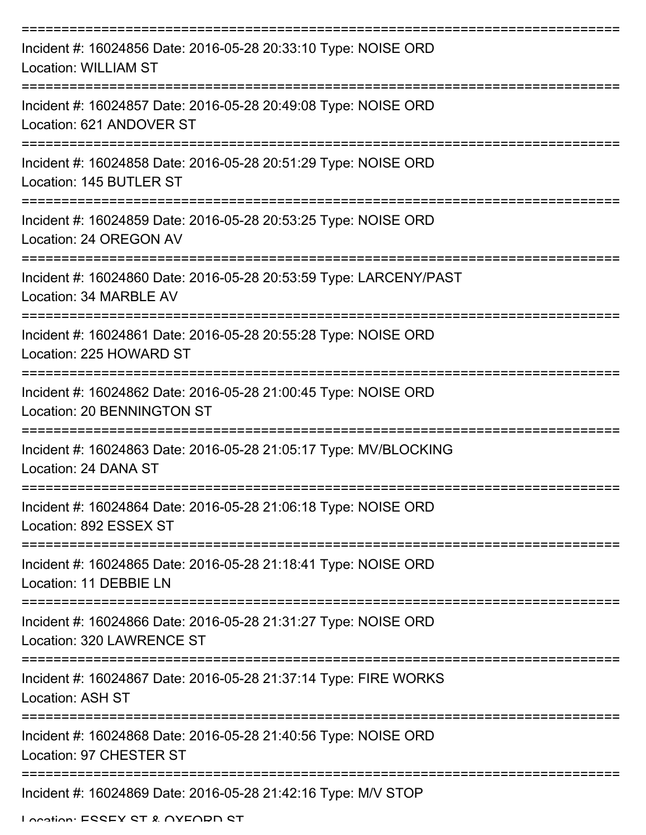| Incident #: 16024856 Date: 2016-05-28 20:33:10 Type: NOISE ORD<br><b>Location: WILLIAM ST</b>                  |
|----------------------------------------------------------------------------------------------------------------|
| Incident #: 16024857 Date: 2016-05-28 20:49:08 Type: NOISE ORD<br>Location: 621 ANDOVER ST                     |
| Incident #: 16024858 Date: 2016-05-28 20:51:29 Type: NOISE ORD<br>Location: 145 BUTLER ST                      |
| Incident #: 16024859 Date: 2016-05-28 20:53:25 Type: NOISE ORD<br>Location: 24 OREGON AV                       |
| Incident #: 16024860 Date: 2016-05-28 20:53:59 Type: LARCENY/PAST<br>Location: 34 MARBLE AV                    |
| Incident #: 16024861 Date: 2016-05-28 20:55:28 Type: NOISE ORD<br>Location: 225 HOWARD ST<br>================= |
| Incident #: 16024862 Date: 2016-05-28 21:00:45 Type: NOISE ORD<br><b>Location: 20 BENNINGTON ST</b>            |
| Incident #: 16024863 Date: 2016-05-28 21:05:17 Type: MV/BLOCKING<br>Location: 24 DANA ST                       |
| Incident #: 16024864 Date: 2016-05-28 21:06:18 Type: NOISE ORD<br>Location: 892 ESSEX ST                       |
| Incident #: 16024865 Date: 2016-05-28 21:18:41 Type: NOISE ORD<br>Location: 11 DEBBIE LN                       |
| Incident #: 16024866 Date: 2016-05-28 21:31:27 Type: NOISE ORD<br>Location: 320 LAWRENCE ST                    |
| Incident #: 16024867 Date: 2016-05-28 21:37:14 Type: FIRE WORKS<br><b>Location: ASH ST</b>                     |
| Incident #: 16024868 Date: 2016-05-28 21:40:56 Type: NOISE ORD<br>Location: 97 CHESTER ST                      |
| Incident #: 16024869 Date: 2016-05-28 21:42:16 Type: M/V STOP                                                  |

Location: ESSEY ST & OVEODD ST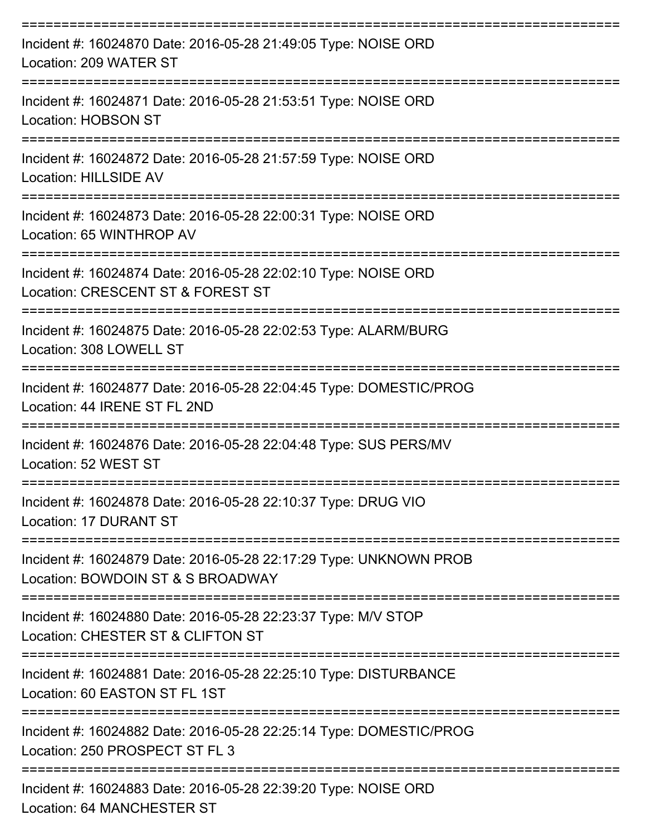| Incident #: 16024870 Date: 2016-05-28 21:49:05 Type: NOISE ORD<br>Location: 209 WATER ST                                 |
|--------------------------------------------------------------------------------------------------------------------------|
| Incident #: 16024871 Date: 2016-05-28 21:53:51 Type: NOISE ORD<br><b>Location: HOBSON ST</b>                             |
| Incident #: 16024872 Date: 2016-05-28 21:57:59 Type: NOISE ORD<br>Location: HILLSIDE AV                                  |
| Incident #: 16024873 Date: 2016-05-28 22:00:31 Type: NOISE ORD<br>Location: 65 WINTHROP AV                               |
| Incident #: 16024874 Date: 2016-05-28 22:02:10 Type: NOISE ORD<br>Location: CRESCENT ST & FOREST ST                      |
| Incident #: 16024875 Date: 2016-05-28 22:02:53 Type: ALARM/BURG<br>Location: 308 LOWELL ST                               |
| Incident #: 16024877 Date: 2016-05-28 22:04:45 Type: DOMESTIC/PROG<br>Location: 44 IRENE ST FL 2ND                       |
| Incident #: 16024876 Date: 2016-05-28 22:04:48 Type: SUS PERS/MV<br>Location: 52 WEST ST                                 |
| Incident #: 16024878 Date: 2016-05-28 22:10:37 Type: DRUG VIO<br>Location: 17 DURANT ST                                  |
| --------------<br>Incident #: 16024879 Date: 2016-05-28 22:17:29 Type: UNKNOWN PROB<br>Location: BOWDOIN ST & S BROADWAY |
| Incident #: 16024880 Date: 2016-05-28 22:23:37 Type: M/V STOP<br>Location: CHESTER ST & CLIFTON ST                       |
| Incident #: 16024881 Date: 2016-05-28 22:25:10 Type: DISTURBANCE<br>Location: 60 EASTON ST FL 1ST                        |
| Incident #: 16024882 Date: 2016-05-28 22:25:14 Type: DOMESTIC/PROG<br>Location: 250 PROSPECT ST FL 3                     |
| Incident #: 16024883 Date: 2016-05-28 22:39:20 Type: NOISE ORD<br>Location: 64 MANCHESTER ST                             |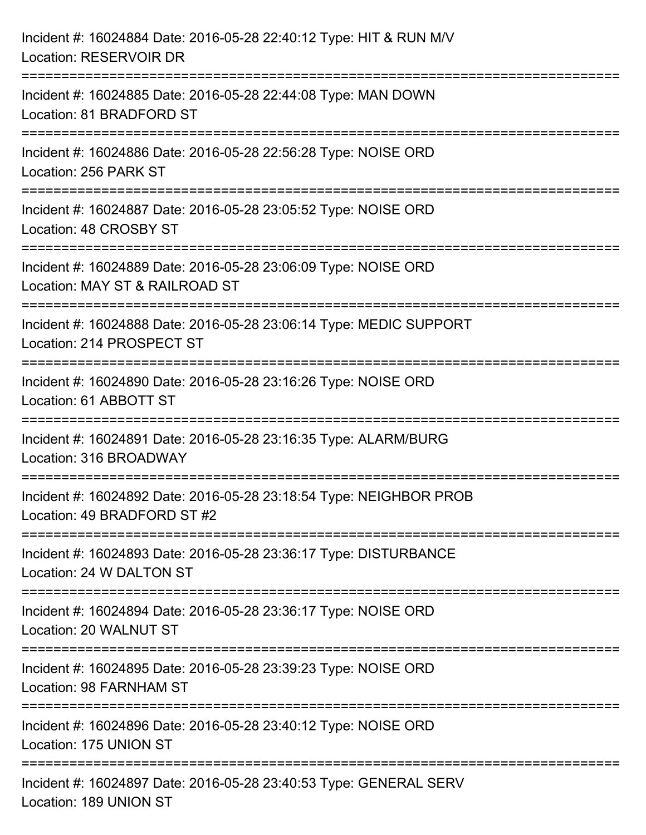| Incident #: 16024884 Date: 2016-05-28 22:40:12 Type: HIT & RUN M/V<br>Location: RESERVOIR DR                                   |
|--------------------------------------------------------------------------------------------------------------------------------|
| =================================<br>Incident #: 16024885 Date: 2016-05-28 22:44:08 Type: MAN DOWN<br>Location: 81 BRADFORD ST |
| Incident #: 16024886 Date: 2016-05-28 22:56:28 Type: NOISE ORD<br>Location: 256 PARK ST<br>=============================       |
| Incident #: 16024887 Date: 2016-05-28 23:05:52 Type: NOISE ORD<br>Location: 48 CROSBY ST                                       |
| Incident #: 16024889 Date: 2016-05-28 23:06:09 Type: NOISE ORD<br>Location: MAY ST & RAILROAD ST                               |
| Incident #: 16024888 Date: 2016-05-28 23:06:14 Type: MEDIC SUPPORT<br>Location: 214 PROSPECT ST                                |
| Incident #: 16024890 Date: 2016-05-28 23:16:26 Type: NOISE ORD<br>Location: 61 ABBOTT ST                                       |
| Incident #: 16024891 Date: 2016-05-28 23:16:35 Type: ALARM/BURG<br>Location: 316 BROADWAY                                      |
| Incident #: 16024892 Date: 2016-05-28 23:18:54 Type: NEIGHBOR PROB<br>Location: 49 BRADFORD ST #2                              |
| Incident #: 16024893 Date: 2016-05-28 23:36:17 Type: DISTURBANCE<br>Location: 24 W DALTON ST                                   |
| Incident #: 16024894 Date: 2016-05-28 23:36:17 Type: NOISE ORD<br>Location: 20 WALNUT ST                                       |
| Incident #: 16024895 Date: 2016-05-28 23:39:23 Type: NOISE ORD<br>Location: 98 FARNHAM ST                                      |
| Incident #: 16024896 Date: 2016-05-28 23:40:12 Type: NOISE ORD<br>Location: 175 UNION ST                                       |
| Incident #: 16024897 Date: 2016-05-28 23:40:53 Type: GENERAL SERV<br>Location: 189 UNION ST                                    |